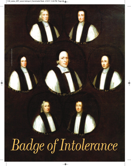

 $\overline{\bullet}$ 

 $\Rightarrow$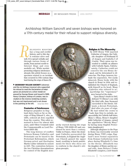**MEDALS** | BY BENJAMIN WEISS | ANA 1210909

Archbishop William Sancroft and seven bishops were honored on a 17th-century medal for their refusal to support religious diversity.

ELIGIOUS BIGOTRY has a long and sordid history, and to this day it remains alive and well. It is spread verbally and through various forms of media, from ancient scrolls to Internet blogs and even medallic art. While medals promoting religious intolerance abound, this article focuses on a specimen related to an incident that occurred in 17th-century England during the reign of James II. *R*

- **ARCHBISHOP WILLIAM SANCROFT** (obverse) and the six bishops (reverse) who supported his refusal to read the Declaration of Indulgence are pictured on a silver medal engraved by George Bower and issued in 1688. Henry Compton, bishop of London, was included on the reverse rendering (center), but was not imprisoned and is not shown in the painting at the left. Actual Size: 51mm

## **Centuries of Intolerance**

Religious prejudice in England dates back as far as the reign of King Edward I, who, in 1290, ordered all Jews expelled from the country. This edict remained in force for almost 400 years, until Oliver Cromwell ruled the Commonwealth as Lord Protector (1653-58).

The long history of conflict between Roman Catholics and Protestants can be traced to the Protestant Reformation, which German priest and theologian Martin Luther initiated in earnest in 1517. The contention between the two Christian denominations for control of the English mon-

archy started during the reign of Henry VIII (1509-47) and continued for more than a century. Unlike in France, where the dominant Catholics persecuted the Protestants, in England the Anglican Church gained the upper hand, resulting in harsh punishments for those who chose not to conform to the church's religious precepts.

# **Religion & The Monarchy**

In 1509 Henry VIII married Catherine of Aragon, the Catholic daughter of Ferdinand II of Aragon and Isabella I of Castile. Their union was intended to solidify an alliance with Catholic Spain. Unfortunately, Catherine could not conceive the son Henry desired, and he determined to divorce her. The Pope, however, forbade the separation. Not easily deterred, Henry broke with the church in Rome in 1534 and established the Church of England, with himself as its head. Many Catholics who refused to acknowledge his "supremacy" were burned at the stake.

Upon Henry's death in 1547, Edward VI (Henry's son with his third wife, Jane Seymour) succeeded to the throne. Edward, a devout Protestant, died after six years of reign. He had willed the crown to Lady Jane Grey to exclude, unsuccessfully, his Catholic half sister, Mary I. (Mary, Henry's daughter with Catherine of Aragon, earned her appellation "Bloody Mary" by having many English Protestants slaughtered.)

Although allegiance to the Pope in Rome was irrevocably severed during Henry VIII's reign, England's more formal separation from Roman Catholicism took place during Elizabeth I's time on the throne. (Elizabeth was the daughter of Henry and his second wife, Anne Boleyn.) Under Elizabeth's auspices, a new branch

◈

MEDAL: BENJAMIN WEISS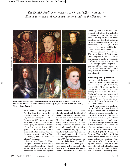*The English Parliament objected to Charles' effort to promote religious tolerance and compelled him to withdraw the Declaration.*



 **ENGLAND'S ACCEPTANCE OF CATHOLICS AND PROTESTANTS** usually depended on who was on the throne. Clockwise, from top left: Henry VIII, Edward VI, Mary I, Elizabeth I, Charles II and James II.

> of Western Christianity, called Anglicanism, developed. By the mid-17th century, the Church of England was independent of the Roman pontiff and comprised a distinct Christian tradition, with theologies, structures and forms of worship representing a middle ground between Roman Catholicism and Protestantism. Other religions were not tolerated by English bishops, who constituted the Church's hierarchy.

> But, in 1672, Charles II of England joined France's Louis XIV in issuing the Declaration of Indulgence. This historic document suspended all penal laws against

Catholic recusants, that is, those who did not attend the Church of England, as well as Protestant dissenters who did not adhere to the Church's doctrine. The English Parliament objected to Charles' effort to promote religious tolerance and compelled him to withdraw the Declaration, replacing it with laws that required anyone entering public service in England to take the Anglican sacrament.

In 1687 Charles' successor, the openly Catholic James II, issued a new Declaration of Indulgence (also known as the Declaration for Liberty of Conscience). The revised law went even further than the one

issued by Charles II in that it exempted Catholics, Protestants, Unitarians, Jews, Muslims and people of any or no faith from penalties based on their religious (or nontheist) convictions. Furthermore, James required his country's bishops to read the document to their parishioners.

William Sancroft (1617-93), the 79th archbishop of Canterbury, took exception to the Declaration and penned a petition against its reading. Sancroft and six of his fellow bishops signed the petition. For this offense, they were confined to the Tower of London until they eventually were acquitted and released.

## **Honoring the Opposition**

Several medals were issued in objection to the bishops' imprisonment. The example shown here, engraved by 17th-century medalist George Bower and titled "Archbishop Sancroft and the Seven Bishops," commemorates and supports the protest staged by William Sancroft, the six bishops and Henry Compton, the bishop of London.

Although James II's Declaration of Indulgence was designed to grant individuals a degree of religious tolerance, the medal promoted the opposite. Clergymen often wore this medal, and others like it, around their necks in support of the bishops, who were considered heroes. As the medal's edge inscription SI FRACTUS ILL-ABATUR ORBIS IMPAUIDOS FERI-ENT RUINÆ ("If the Shattered Universe Were to Fall, the Ruins Would Strike Them Undismayed") suggests, they were unafraid of the penalties inflicted upon them by the Crown. A similar medal struck in Holland intimated that their imprisonment was a tribute, not a disgrace. Apparently then,